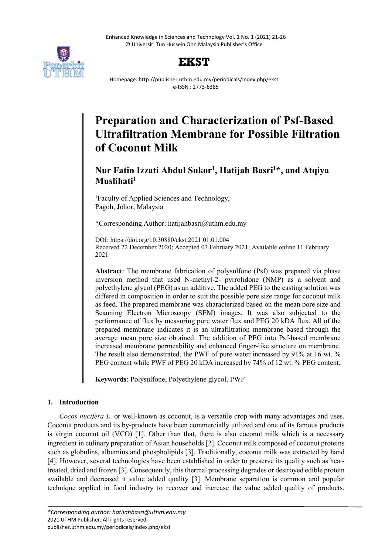Enhanced Knowledge in Sciences and Technology Vol. 1 No. 1 (2021) 21-26 © Universiti Tun Hussein Onn Malaysia Publisher's Office





Homepage: http://publisher.uthm.edu.my/periodicals/index.php/ekst e-ISSN : 2773-6385

# **Preparation and Characterization of Psf-Based Ultrafiltration Membrane for Possible Filtration of Coconut Milk**

# **Nur Fatin Izzati Abdul Sukor1 , Hatijah Basri1 \*, and Atqiya Muslihati1**

1 Faculty of Applied Sciences and Technology, Pagoh, Johor, Malaysia

\*Corresponding Author: hatijahbasri@uthm.edu.my

DOI: https://doi.org/10.30880/ekst.2021.01.01.004 Received 22 December 2020; Accepted 03 February 2021; Available online 11 February 2021

**Abstract**: The membrane fabrication of polysulfone (Psf) was prepared via phase inversion method that used N-methyl-2- pyrrolidone (NMP) as a solvent and polyethylene glycol (PEG) as an additive. The added PEG to the casting solution was differed in composition in order to suit the possible pore size range for coconut milk as feed. The prepared membrane was characterized based on the mean pore size and Scanning Electron Microscopy (SEM) images. It was also subjected to the performance of flux by measuring pure water flux and PEG 20 kDA flux. All of the prepared membrane indicates it is an ultrafiltration membrane based through the average mean pore size obtained. The addition of PEG into Psf-based membrane increased membrane permeability and enhanced finger-like structure on membrane. The result also demonstrated, the PWF of pure water increased by 91% at 16 wt. % PEG content while PWF of PEG 20 kDA increased by 74% of 12 wt. % PEG content.

**Keywords**: Polysulfone, Polyethylene glycol, PWF

# **1. Introduction**

*Cocos nucifera L*. or well-known as coconut, is a versatile crop with many advantages and uses. Coconut products and its by-products have been commercially utilized and one of its famous products is virgin coconut oil (VCO) [1]. Other than that, there is also coconut milk which is a necessary ingredient in culinary preparation of Asian households [2]. Coconut milk composed of coconut proteins such as globulins, albumins and phospholipids [3]. Traditionally, coconut milk was extracted by hand [4]. However, several technologies have been established in order to preserve its quality such as heattreated, dried and frozen [3]. Consequently, this thermal processing degrades or destroyed edible protein available and decreased it value added quality [3]. Membrane separation is common and popular technique applied in food industry to recover and increase the value added quality of products.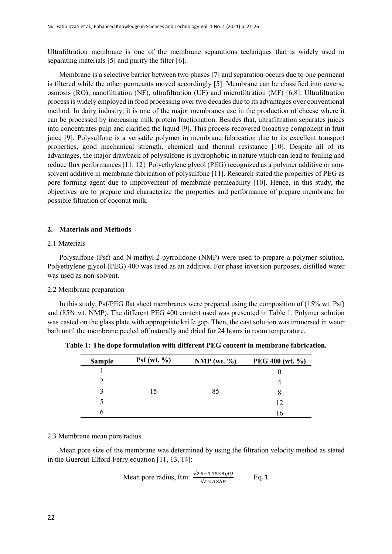Ultrafiltration membrane is one of the membrane separations techniques that is widely used in separating materials [5] and purify the filter [6].

Membrane is a selective barrier between two phases [7] and separation occurs due to one permeant is filtered while the other permeants moved accordingly [5]. Membrane can be classified into reverse osmosis (RO), nanofiltration (NF), ultrafiltration (UF) and microfiltration (MF) [6,8]. Ultrafiltration process is widely employed in food processing over two decades due to its advantages over conventional method. In dairy industry, it is one of the major membranes use in the production of cheese where it can be processed by increasing milk protein fractionation. Besides that, ultrafiltration separates juices into concentrates pulp and clarified the liquid [9]. This process recovered bioactive component in fruit juice [9]. Polysulfone is a versatile polymer in membrane fabrication due to its excellent transport properties, good mechanical strength, chemical and thermal resistance [10]. Despite all of its advantages, the major drawback of polysulfone is hydrophobic in nature which can lead to fouling and reduce flux performances [11, 12]. Polyethylene glycol (PEG) recognized as a polymer additive or nonsolvent additive in membrane fabrication of polysulfone [11]. Research stated the properties of PEG as pore forming agent due to improvement of membrane permeability [10]. Hence, in this study, the objectives are to prepare and characterize the properties and performance of prepare membrane for possible filtration of coconut milk.

#### **2. Materials and Methods**

#### 2.1 Materials

Polysulfone (Psf) and N-methyl-2-pyrrolidone (NMP) were used to prepare a polymer solution. Polyethylene glycol (PEG) 400 was used as an additive. For phase inversion purposes, distilled water was used as non-solvent.

#### 2.2 Membrane preparation

In this study, Psf/PEG flat sheet membranes were prepared using the composition of (15% wt. Psf) and (85% wt. NMP). The different PEG 400 content used was presented in Table 1. Polymer solution was casted on the glass plate with appropriate knife gap. Then, the cast solution was immersed in water bath until the membrane peeled off naturally and dried for 24 hours in room temperature.

| <b>Sample</b> | Psf(wt. % ) | NMP (wt. $\%$ ) | PEG 400 (wt. %) |
|---------------|-------------|-----------------|-----------------|
|               | 15          | 85              |                 |
|               |             |                 |                 |
| 3             |             |                 |                 |
|               |             |                 | 12              |
| h             |             |                 | 16              |

**Table 1: The dope formulation with different PEG content in membrane fabrication.**

#### 2.3 Membrane mean pore radius

Mean pore size of the membrane was determined by using the filtration velocity method as stated in the Guerout-Elford-Ferry equation [11, 13, 14]:

Mean pore radius, Rm: 
$$
\frac{\sqrt{2.9-1.75} \times 8\eta lQ}{\sqrt{\varepsilon} \times A \times \Delta P}
$$
 Eq. 1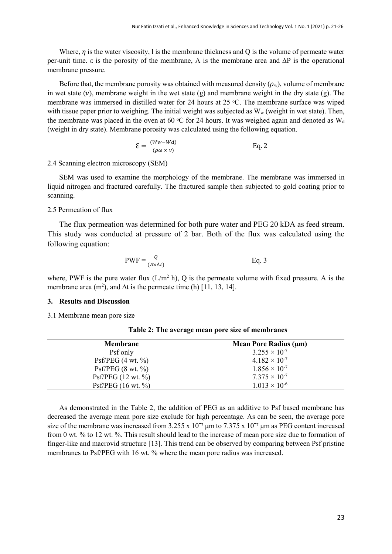Where,  $\eta$  is the water viscosity, l is the membrane thickness and Q is the volume of permeate water per-unit time. ε is the porosity of the membrane, A is the membrane area and ∆P is the operational membrane pressure.

Before that, the membrane porosity was obtained with measured density  $(\rho_w)$ , volume of membrane in wet state  $(v)$ , membrane weight in the wet state  $(g)$  and membrane weight in the dry state  $(g)$ . The membrane was immersed in distilled water for 24 hours at 25  $\degree$ C. The membrane surface was wiped with tissue paper prior to weighing. The initial weight was subjected as  $W_w$  (weight in wet state). Then, the membrane was placed in the oven at 60 °C for 24 hours. It was weighed again and denoted as  $W_d$ (weight in dry state). Membrane porosity was calculated using the following equation.

$$
\mathbf{E} = \frac{(Ww - Wd)}{(\rho \omega \times v)} \quad \text{Eq. 2}
$$

### 2.4 Scanning electron microscopy (SEM)

SEM was used to examine the morphology of the membrane. The membrane was immersed in liquid nitrogen and fractured carefully. The fractured sample then subjected to gold coating prior to scanning.

# 2.5 Permeation of flux

The flux permeation was determined for both pure water and PEG 20 kDA as feed stream. This study was conducted at pressure of 2 bar. Both of the flux was calculated using the following equation:

$$
PWF = \frac{Q}{(A \times \Delta t)} \qquad \qquad Eq. 3
$$

where, PWF is the pure water flux  $(L/m^2 h)$ , Q is the permeate volume with fixed pressure. A is the membrane area (m<sup>2</sup>), and  $\Delta t$  is the permeate time (h) [11, 13, 14].

#### **3. Results and Discussion**

3.1 Membrane mean pore size

| <b>Membrane</b>     | Mean Pore Radius (µm)  |
|---------------------|------------------------|
| Psf only            | $3.255 \times 10^{-7}$ |
| $Psf/PEG$ (4 wt. %) | $4.182 \times 10^{-7}$ |
| Psf/PEG (8 wt. %)   | $1.856 \times 10^{-7}$ |
| Psf/PEG (12 wt. %)  | $7.375 \times 10^{-7}$ |
| Psf/PEG (16 wt. %)  | $1.013 \times 10^{-6}$ |

**Table 2: The average mean pore size of membranes**

As demonstrated in the Table 2, the addition of PEG as an additive to Psf based membrane has decreased the average mean pore size exclude for high percentage. As can be seen, the average pore size of the membrane was increased from 3.255 x 10<sup>- $\tau$ </sup> μm to 7.375 x 10<sup>- $\tau$ </sup> μm as PEG content increased from 0 wt. % to 12 wt. %. This result should lead to the increase of mean pore size due to formation of finger-like and macrovid structure [13]. This trend can be observed by comparing between Psf pristine membranes to Psf/PEG with 16 wt. % where the mean pore radius was increased.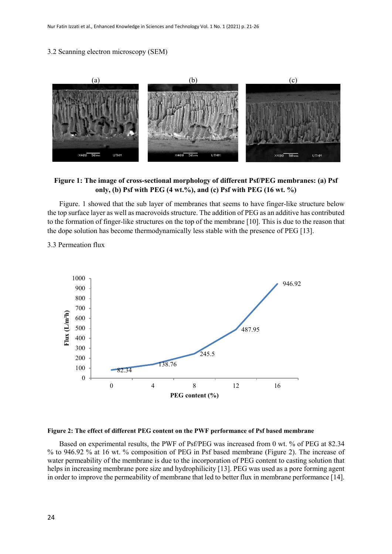# 3.2 Scanning electron microscopy (SEM)



**Figure 1: The image of cross-sectional morphology of different Psf/PEG membranes: (a) Psf only, (b) Psf with PEG (4 wt.%), and (c) Psf with PEG (16 wt. %)**

Figure. 1 showed that the sub layer of membranes that seems to have finger-like structure below the top surface layer as well as macrovoids structure. The addition of PEG as an additive has contributed to the formation of finger-like structures on the top of the membrane [10]. This is due to the reason that the dope solution has become thermodynamically less stable with the presence of PEG [13].

3.3 Permeation flux



**Figure 2: The effect of different PEG content on the PWF performance of Psf based membrane**

Based on experimental results, the PWF of Psf/PEG was increased from 0 wt. % of PEG at 82.34 % to 946.92 % at 16 wt. % composition of PEG in Psf based membrane (Figure 2). The increase of water permeability of the membrane is due to the incorporation of PEG content to casting solution that helps in increasing membrane pore size and hydrophilicity [13]. PEG was used as a pore forming agent in order to improve the permeability of membrane that led to better flux in membrane performance [14].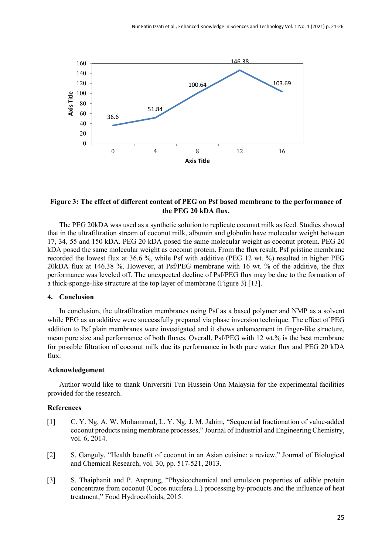

# **Figure 3: The effect of different content of PEG on Psf based membrane to the performance of the PEG 20 kDA flux.**

The PEG 20kDA was used as a synthetic solution to replicate coconut milk as feed. Studies showed that in the ultrafiltration stream of coconut milk, albumin and globulin have molecular weight between 17, 34, 55 and 150 kDA. PEG 20 kDA posed the same molecular weight as coconut protein. PEG 20 kDA posed the same molecular weight as coconut protein. From the flux result, Psf pristine membrane recorded the lowest flux at 36.6 %, while Psf with additive (PEG 12 wt. %) resulted in higher PEG 20kDA flux at 146.38 %. However, at Psf/PEG membrane with 16 wt. % of the additive, the flux performance was leveled off. The unexpected decline of Psf/PEG flux may be due to the formation of a thick-sponge-like structure at the top layer of membrane (Figure 3) [13].

#### **4. Conclusion**

In conclusion, the ultrafiltration membranes using Psf as a based polymer and NMP as a solvent while PEG as an additive were successfully prepared via phase inversion technique. The effect of PEG addition to Psf plain membranes were investigated and it shows enhancement in finger-like structure, mean pore size and performance of both fluxes. Overall, Psf/PEG with 12 wt.% is the best membrane for possible filtration of coconut milk due its performance in both pure water flux and PEG 20 kDA flux.

## **Acknowledgement**

Author would like to thank Universiti Tun Hussein Onn Malaysia for the experimental facilities provided for the research.

### **References**

- [1] C. Y. Ng, A. W. Mohammad, L. Y. Ng, J. M. Jahim, "Sequential fractionation of value-added coconut products using membrane processes," Journal of Industrial and Engineering Chemistry, vol. 6, 2014.
- [2] S. Ganguly, "Health benefit of coconut in an Asian cuisine: a review," Journal of Biological and Chemical Research, vol. 30, pp. 517-521, 2013.
- [3] S. Thaiphanit and P. Anprung, "Physicochemical and emulsion properties of edible protein concentrate from coconut (Cocos nucifera L.) processing by-products and the influence of heat treatment," Food Hydrocolloids, 2015.